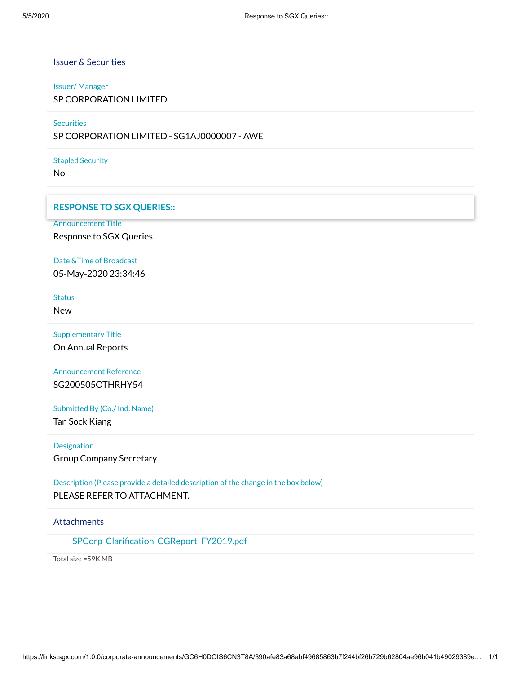Issuer & Securities

#### Issuer/ Manager

SP CORPORATION LIMITED

**Securities** 

SP CORPORATION LIMITED - SG1AJ0000007 - AWE

Stapled Security

No

#### **RESPONSE TO SGX QUERIES::**

Announcement Title

Response to SGX Queries

Date &Time of Broadcast

05-May-2020 23:34:46

**Status** 

New

Supplementary Title

On Annual Reports

Announcement Reference SG200505OTHRHY54

Submitted By (Co./ Ind. Name)

Tan Sock Kiang

Designation

Group Company Secretary

Description (Please provide a detailed description of the change in the box below) PLEASE REFER TO ATTACHMENT.

## **Attachments**

SPCorp\_Clarification\_CGReport\_FY2019.pdf

Total size =59K MB